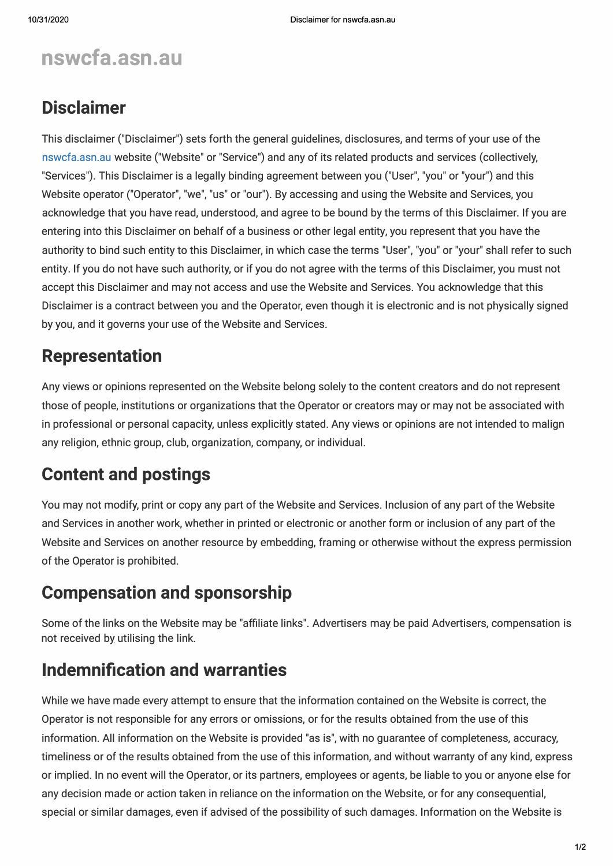# **nswcfa.asn.au**

### **Disclaimer**

This disclaimer ("Disclaimer") sets forth the general guidelines, disclosures, and terms of your use of the nswcfa.asn.au website ("Website" or "Service") and any of its related products and services (collectively, "Services"). This Disclaimer is a legally binding agreement between you ("User", "you" or "your") and this Website operator ("Operator", "we", "us" or "our"). By accessing and using the Website and Services, you acknowledge that you have read, understood, and agree to be bound by the terms of this Disclaimer. If you are entering into this Disclaimer on behalf of a business or other legal entity, you represent that you have the authority to bind such entity to this Disclaimer, in which case the terms "User", "you" or "your" shall refer to such entity. If you do not have such authority, or if you do not agree with the terms of this Disclaimer, you must not accept this Disclaimer and may not access and use the Website and Services. You acknowledge that this Disclaimer is a contract between you and the Operator, even though it is electronic and is not physically signed by you, and it governs your use of the Website and Services.

# **Representation**

Any views or opinions represented on the Website belong solely to the content creators and do not represent those of people, institutions or organizations that the Operator or creators may or may not be associated with in professional or personal capacity, unless explicitly stated. Any views or opinions are not intended to malign any religion, ethnic group, club, organization, company, or individual.

# **Content and postings**

You may not modify, print or copy any part of the Website and Services. Inclusion of any part of the Website and Services in another work, whether in printed or electronic or another form or inclusion of any part of the Website and Services on another resource by embedding, framing or otherwise without the express permission of the Operator is prohibited.

### **Compensation and sponsorship**

Some of the links on the Website may be "affiliate links". Advertisers may be paid Advertisers, compensation is not received by utilising the link.

### **Indemnification and warranties**

While we have made every attempt to ensure that the information contained on the Website is correct, the Operator is not responsible for any errors or omissions, or for the results obtained from the use of this information. All information on the Website is provided "as is", with no guarantee of completeness, accuracy, timeliness or of the results obtained from the use of this information, and without warranty of any kind, express or implied. In no event will the Operator, or its partners, employees or agents, be liable to you or anyone else for any decision made or action taken in reliance on the information on the Website, or for any consequential, special or similar damages, even if advised of the possibility of such damages. Information on the Website is